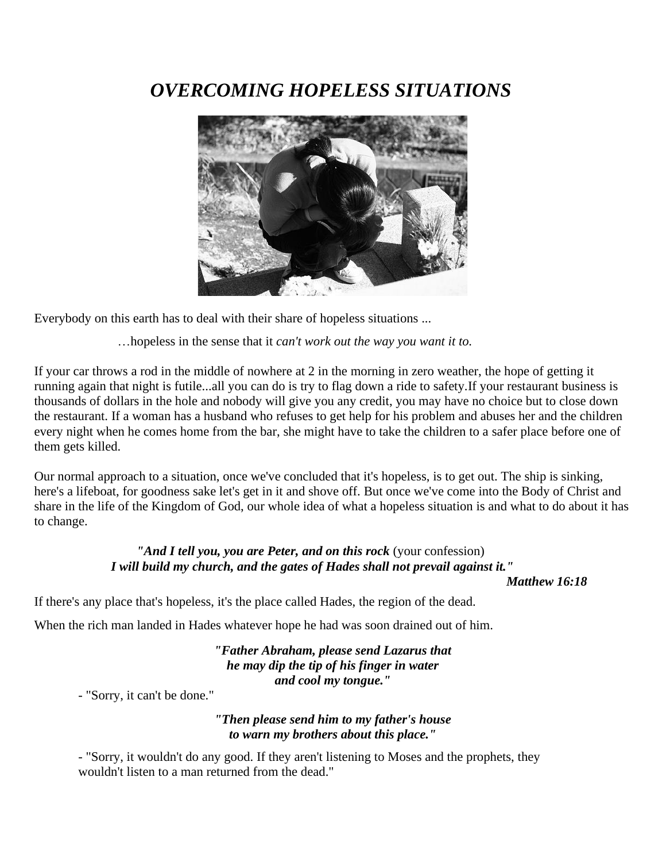# *OVERCOMING HOPELESS SITUATIONS*



Everybody on this earth has to deal with their share of hopeless situations ...

…hopeless in the sense that it *can't work out the way you want it to.*

If your car throws a rod in the middle of nowhere at 2 in the morning in zero weather, the hope of getting it running again that night is futile...all you can do is try to flag down a ride to safety.If your restaurant business is thousands of dollars in the hole and nobody will give you any credit, you may have no choice but to close down the restaurant. If a woman has a husband who refuses to get help for his problem and abuses her and the children every night when he comes home from the bar, she might have to take the children to a safer place before one of them gets killed.

Our normal approach to a situation, once we've concluded that it's hopeless, is to get out. The ship is sinking, here's a lifeboat, for goodness sake let's get in it and shove off. But once we've come into the Body of Christ and share in the life of the Kingdom of God, our whole idea of what a hopeless situation is and what to do about it has to change.

# *"And I tell you, you are Peter, and on this rock* (your confession) *I will build my church, and the gates of Hades shall not prevail against it."*

*Matthew 16:18*

If there's any place that's hopeless, it's the place called Hades, the region of the dead.

When the rich man landed in Hades whatever hope he had was soon drained out of him.

*"Father Abraham, please send Lazarus that he may dip the tip of his finger in water and cool my tongue."*

- "Sorry, it can't be done."

## *"Then please send him to my father's house to warn my brothers about this place."*

- "Sorry, it wouldn't do any good. If they aren't listening to Moses and the prophets, they wouldn't listen to a man returned from the dead."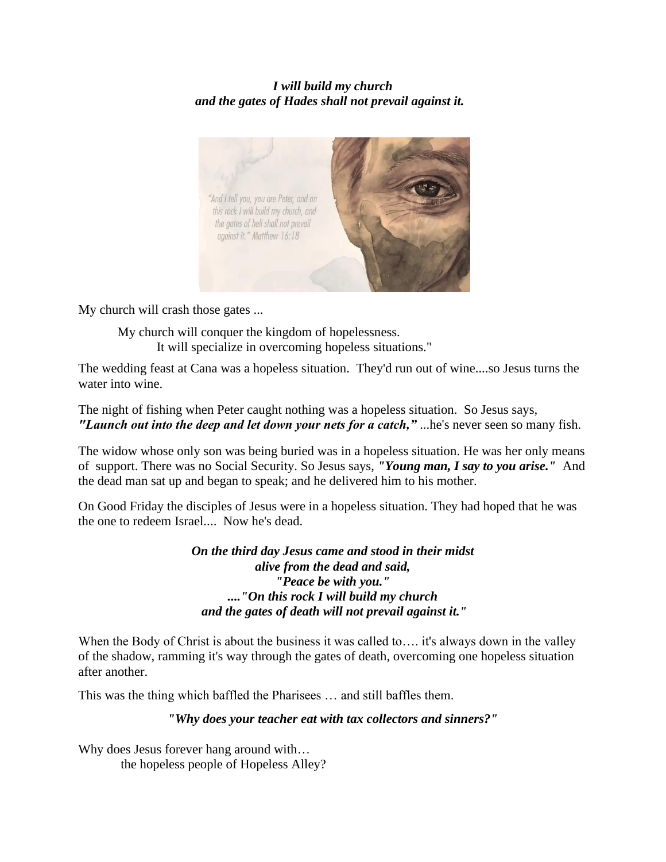## *I will build my church and the gates of Hades shall not prevail against it.*



My church will crash those gates ...

My church will conquer the kingdom of hopelessness. It will specialize in overcoming hopeless situations."

The wedding feast at Cana was a hopeless situation. They'd run out of wine....so Jesus turns the water into wine.

The night of fishing when Peter caught nothing was a hopeless situation. So Jesus says, *"Launch out into the deep and let down your nets for a catch,"* ...he's never seen so many fish.

The widow whose only son was being buried was in a hopeless situation. He was her only means of support. There was no Social Security. So Jesus says, *"Young man, I say to you arise."* And the dead man sat up and began to speak; and he delivered him to his mother.

On Good Friday the disciples of Jesus were in a hopeless situation. They had hoped that he was the one to redeem Israel.... Now he's dead.

> *On the third day Jesus came and stood in their midst alive from the dead and said, "Peace be with you." ...."On this rock I will build my church and the gates of death will not prevail against it."*

When the Body of Christ is about the business it was called to... it's always down in the valley of the shadow, ramming it's way through the gates of death, overcoming one hopeless situation after another.

This was the thing which baffled the Pharisees … and still baffles them.

## *"Why does your teacher eat with tax collectors and sinners?"*

Why does Jesus forever hang around with… the hopeless people of Hopeless Alley?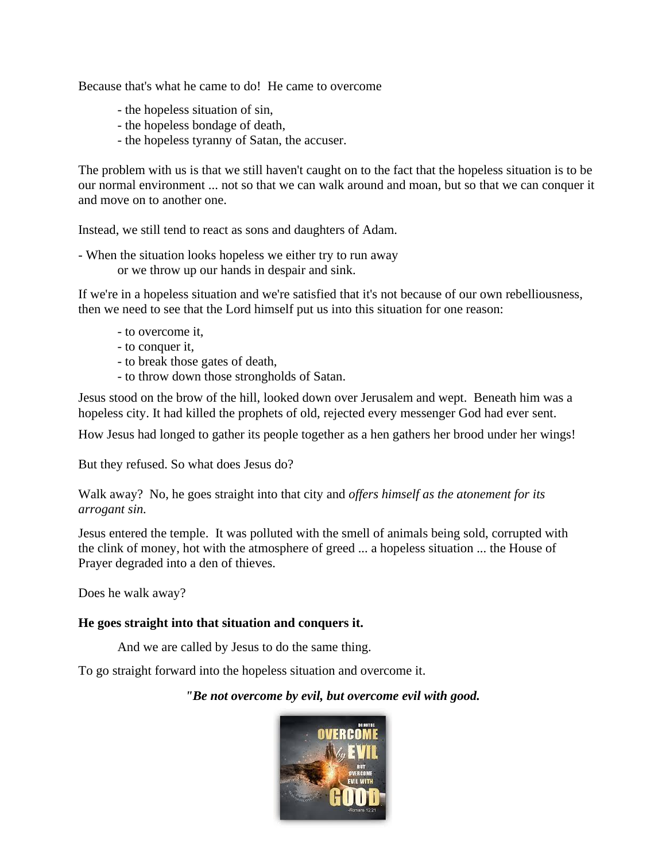Because that's what he came to do! He came to overcome

- the hopeless situation of sin,
- the hopeless bondage of death,
- the hopeless tyranny of Satan, the accuser.

The problem with us is that we still haven't caught on to the fact that the hopeless situation is to be our normal environment ... not so that we can walk around and moan, but so that we can conquer it and move on to another one.

Instead, we still tend to react as sons and daughters of Adam.

- When the situation looks hopeless we either try to run away or we throw up our hands in despair and sink.

If we're in a hopeless situation and we're satisfied that it's not because of our own rebelliousness, then we need to see that the Lord himself put us into this situation for one reason:

- to overcome it,
- to conquer it,
- to break those gates of death,
- to throw down those strongholds of Satan.

Jesus stood on the brow of the hill, looked down over Jerusalem and wept. Beneath him was a hopeless city. It had killed the prophets of old, rejected every messenger God had ever sent.

How Jesus had longed to gather its people together as a hen gathers her brood under her wings!

But they refused. So what does Jesus do?

Walk away? No, he goes straight into that city and *offers himself as the atonement for its arrogant sin.*

Jesus entered the temple. It was polluted with the smell of animals being sold, corrupted with the clink of money, hot with the atmosphere of greed ... a hopeless situation ... the House of Prayer degraded into a den of thieves.

Does he walk away?

#### **He goes straight into that situation and conquers it.**

And we are called by Jesus to do the same thing.

To go straight forward into the hopeless situation and overcome it.

#### *"Be not overcome by evil, but overcome evil with good.*

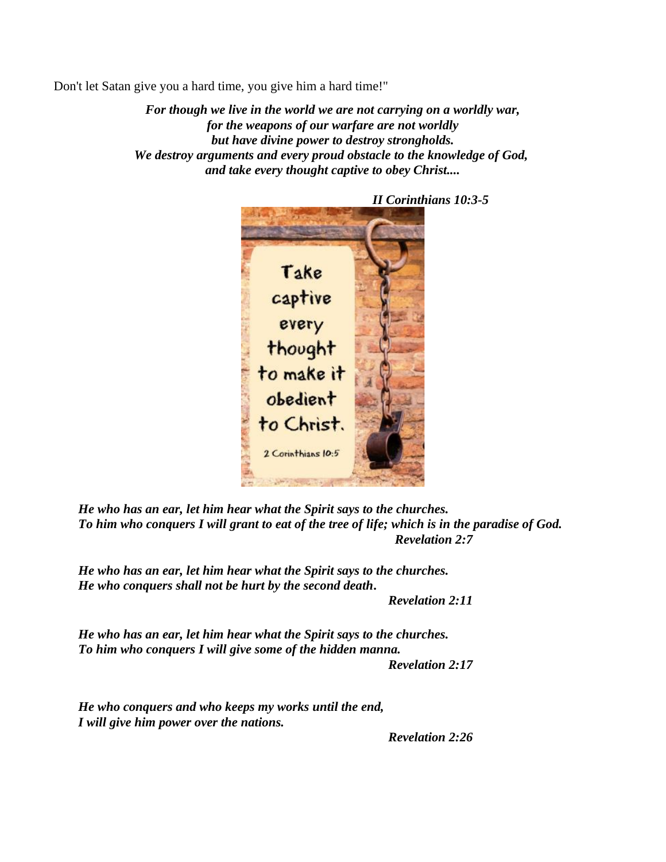Don't let Satan give you a hard time, you give him a hard time!"

*For though we live in the world we are not carrying on a worldly war, for the weapons of our warfare are not worldly but have divine power to destroy strongholds. We destroy arguments and every proud obstacle to the knowledge of God, and take every thought captive to obey Christ....*



*He who has an ear, let him hear what the Spirit says to the churches. To him who conquers I will grant to eat of the tree of life; which is in the paradise of God. Revelation 2:7*

*He who has an ear, let him hear what the Spirit says to the churches. He who conquers shall not be hurt by the second death***.**

*Revelation 2:11*

*He who has an ear, let him hear what the Spirit says to the churches. To him who conquers I will give some of the hidden manna.*

*Revelation 2:17*

*He who conquers and who keeps my works until the end, I will give him power over the nations.*

*Revelation 2:26*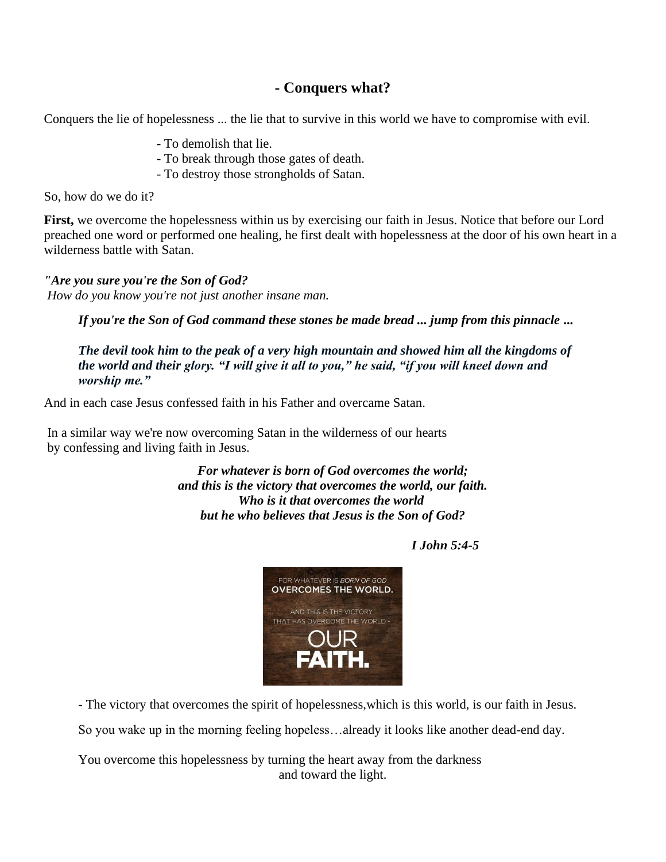## **- Conquers what?**

Conquers the lie of hopelessness ... the lie that to survive in this world we have to compromise with evil.

- To demolish that lie.
- To break through those gates of death.
- To destroy those strongholds of Satan.

So, how do we do it?

**First,** we overcome the hopelessness within us by exercising our faith in Jesus. Notice that before our Lord preached one word or performed one healing, he first dealt with hopelessness at the door of his own heart in a wilderness battle with Satan.

*"Are you sure you're the Son of God? How do you know you're not just another insane man.*

*If you're the Son of God command these stones be made bread ... jump from this pinnacle* **...**

*The devil took him to the peak of a very high mountain and showed him all the kingdoms of the world and their glory. "I will give it all to you," he said, "if you will kneel down and worship me."*

And in each case Jesus confessed faith in his Father and overcame Satan.

In a similar way we're now overcoming Satan in the wilderness of our hearts by confessing and living faith in Jesus.

> *For whatever is born of God overcomes the world; and this is the victory that overcomes the world, our faith. Who is it that overcomes the world but he who believes that Jesus is the Son of God?*

## *I John 5:4-5*



- The victory that overcomes the spirit of hopelessness,which is this world, is our faith in Jesus.

So you wake up in the morning feeling hopeless…already it looks like another dead-end day.

You overcome this hopelessness by turning the heart away from the darkness and toward the light.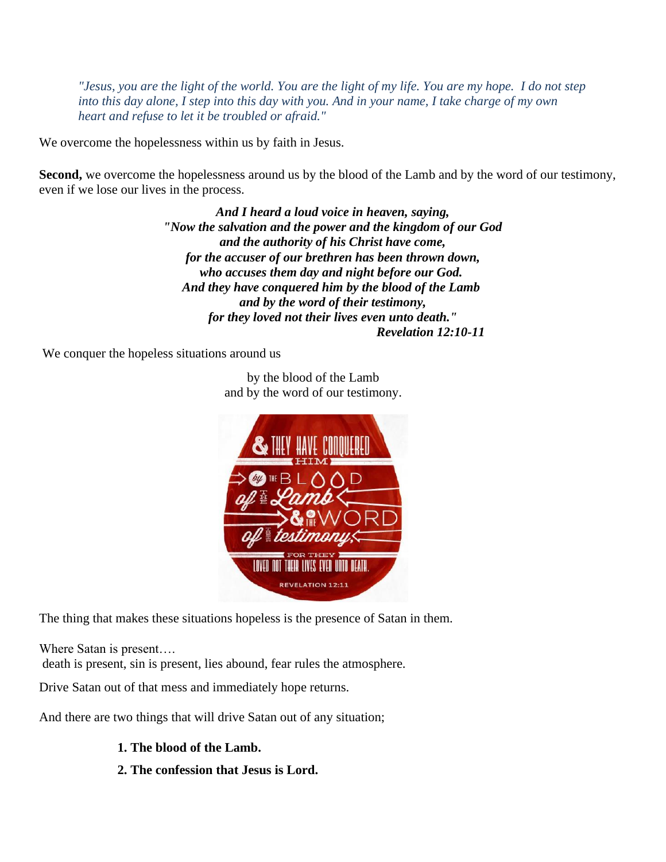*"Jesus, you are the light of the world. You are the light of my life. You are my hope. I do not step into this day alone, I step into this day with you. And in your name, I take charge of my own heart and refuse to let it be troubled or afraid."*

We overcome the hopelessness within us by faith in Jesus.

**Second,** we overcome the hopelessness around us by the blood of the Lamb and by the word of our testimony, even if we lose our lives in the process.

> *And I heard a loud voice in heaven, saying, "Now the salvation and the power and the kingdom of our God and the authority of his Christ have come, for the accuser of our brethren has been thrown down, who accuses them day and night before our God. And they have conquered him by the blood of the Lamb and by the word of their testimony, for they loved not their lives even unto death." Revelation 12:10-11*

We conquer the hopeless situations around us

**REVELATION 12:11** 

The thing that makes these situations hopeless is the presence of Satan in them.

Where Satan is present….

death is present, sin is present, lies abound, fear rules the atmosphere.

Drive Satan out of that mess and immediately hope returns.

And there are two things that will drive Satan out of any situation;

## **1. The blood of the Lamb.**

**2. The confession that Jesus is Lord.**

by the blood of the Lamb and by the word of our testimony.